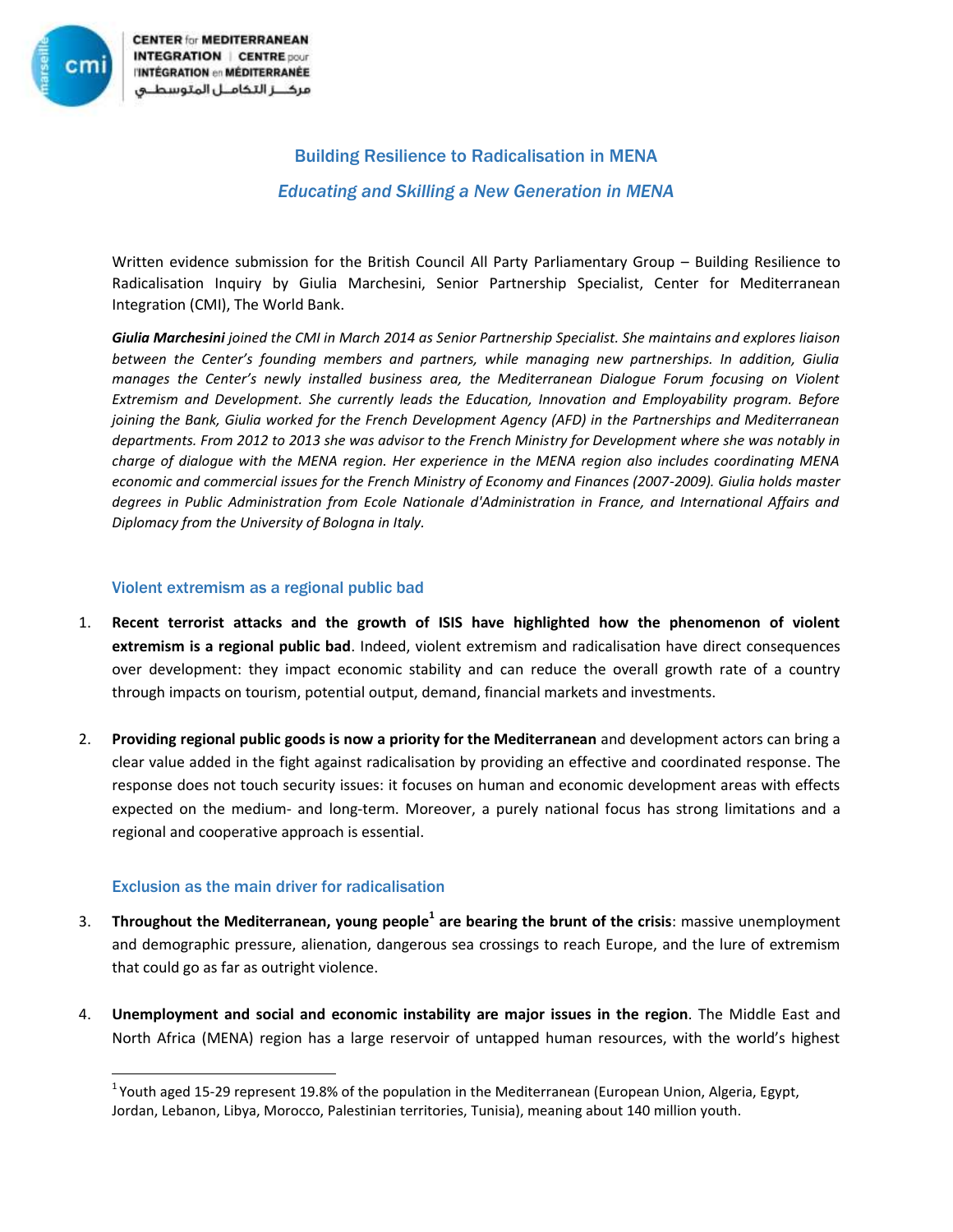

**CENTER for MEDITERRANEAN INTEGRATION | CENTRE pour I'INTÉGRATION en MÉDITERRANÉE** مركـــز التكامــل المتوسطــى

# Building Resilience to Radicalisation in MENA *Educating and Skilling a New Generation in MENA*

Written evidence submission for the British Council All Party Parliamentary Group – Building Resilience to Radicalisation Inquiry by Giulia Marchesini, Senior Partnership Specialist, Center for Mediterranean Integration (CMI), The World Bank.

*Giulia Marchesini joined the CMI in March 2014 as Senior Partnership Specialist. She maintains and explores liaison between the Center's founding members and partners, while managing new partnerships. In addition, Giulia manages the Center's newly installed business area, the Mediterranean Dialogue Forum focusing on Violent Extremism and Development. She currently leads the Education, Innovation and Employability program. Before joining the Bank, Giulia worked for the French Development Agency (AFD) in the Partnerships and Mediterranean departments. From 2012 to 2013 she was advisor to the French Ministry for Development where she was notably in charge of dialogue with the MENA region. Her experience in the MENA region also includes coordinating MENA economic and commercial issues for the French Ministry of Economy and Finances (2007-2009). Giulia holds master degrees in Public Administration from Ecole Nationale d'Administration in France, and International Affairs and Diplomacy from the University of Bologna in Italy.*

### Violent extremism as a regional public bad

- 1. **Recent terrorist attacks and the growth of ISIS have highlighted how the phenomenon of violent extremism is a regional public bad**. Indeed, violent extremism and radicalisation have direct consequences over development: they impact economic stability and can reduce the overall growth rate of a country through impacts on tourism, potential output, demand, financial markets and investments.
- 2. **Providing regional public goods is now a priority for the Mediterranean** and development actors can bring a clear value added in the fight against radicalisation by providing an effective and coordinated response. The response does not touch security issues: it focuses on human and economic development areas with effects expected on the medium- and long-term. Moreover, a purely national focus has strong limitations and a regional and cooperative approach is essential.

### Exclusion as the main driver for radicalisation

l

- 3. **Throughout the Mediterranean, young people<sup>1</sup> are bearing the brunt of the crisis**: massive unemployment and demographic pressure, alienation, dangerous sea crossings to reach Europe, and the lure of extremism that could go as far as outright violence.
- 4. **Unemployment and social and economic instability are major issues in the region**. The Middle East and North Africa (MENA) region has a large reservoir of untapped human resources, with the world's highest

<sup>&</sup>lt;sup>1</sup> Youth aged 15-29 represent 19.8% of the population in the Mediterranean (European Union, Algeria, Egypt, Jordan, Lebanon, Libya, Morocco, Palestinian territories, Tunisia), meaning about 140 million youth.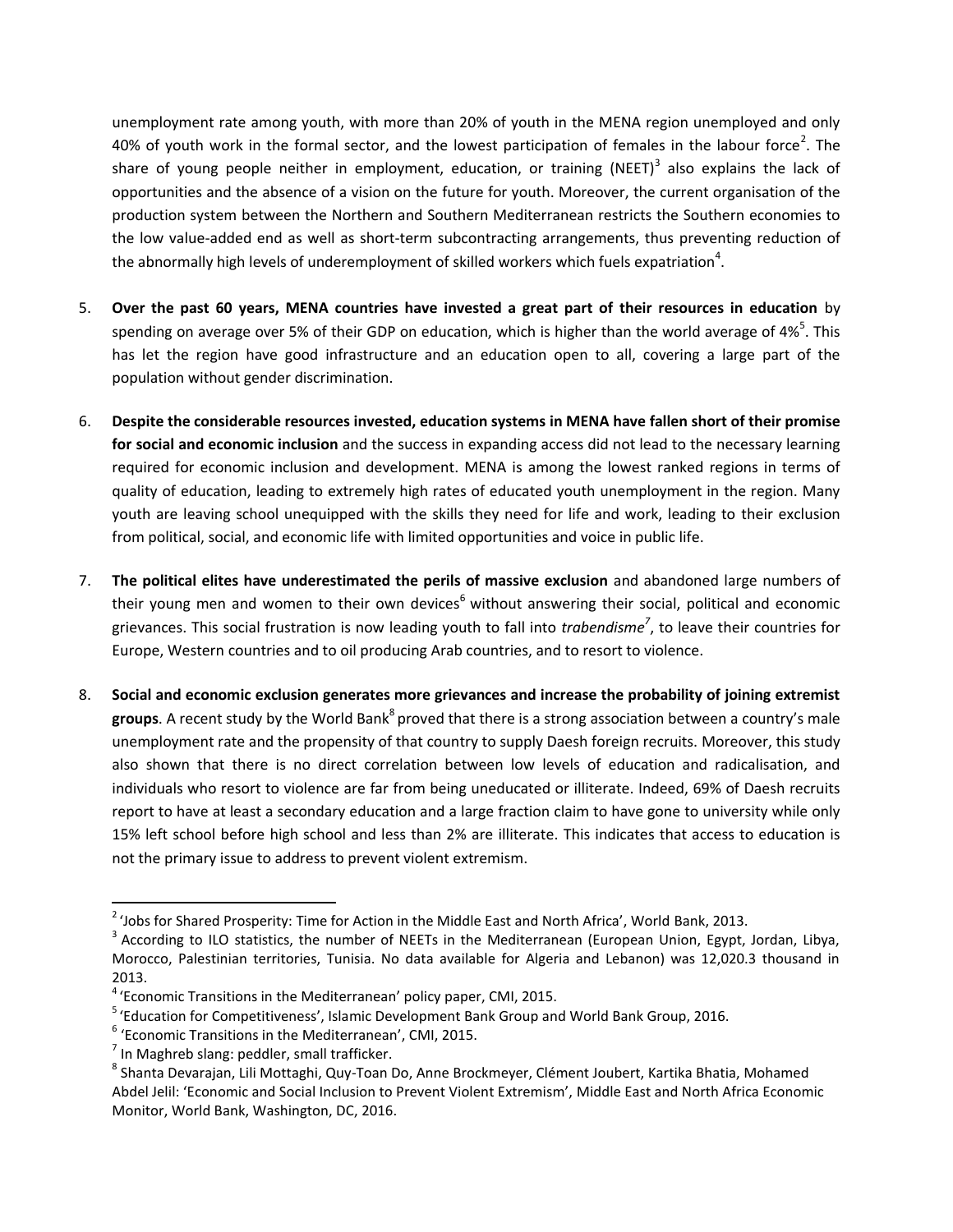unemployment rate among youth, with more than 20% of youth in the MENA region unemployed and only 40% of youth work in the formal sector, and the lowest participation of females in the labour force<sup>2</sup>. The share of young people neither in employment, education, or training (NEET)<sup>3</sup> also explains the lack of opportunities and the absence of a vision on the future for youth. Moreover, the current organisation of the production system between the Northern and Southern Mediterranean restricts the Southern economies to the low value-added end as well as short-term subcontracting arrangements, thus preventing reduction of the abnormally high levels of underemployment of skilled workers which fuels expatriation<sup>4</sup>.

- 5. **Over the past 60 years, MENA countries have invested a great part of their resources in education** by spending on average over 5% of their GDP on education, which is higher than the world average of 4%<sup>5</sup>. This has let the region have good infrastructure and an education open to all, covering a large part of the population without gender discrimination.
- 6. **Despite the considerable resources invested, education systems in MENA have fallen short of their promise for social and economic inclusion** and the success in expanding access did not lead to the necessary learning required for economic inclusion and development. MENA is among the lowest ranked regions in terms of quality of education, leading to extremely high rates of educated youth unemployment in the region. Many youth are leaving school unequipped with the skills they need for life and work, leading to their exclusion from political, social, and economic life with limited opportunities and voice in public life.
- 7. **The political elites have underestimated the perils of massive exclusion** and abandoned large numbers of their young men and women to their own devices $<sup>6</sup>$  without answering their social, political and economic</sup> grievances. This social frustration is now leading youth to fall into *trabendisme<sup>7</sup>* , to leave their countries for Europe, Western countries and to oil producing Arab countries, and to resort to violence.
- 8. **Social and economic exclusion generates more grievances and increase the probability of joining extremist**  groups. A recent study by the World Bank<sup>8</sup> proved that there is a strong association between a country's male unemployment rate and the propensity of that country to supply Daesh foreign recruits. Moreover, this study also shown that there is no direct correlation between low levels of education and radicalisation, and individuals who resort to violence are far from being uneducated or illiterate. Indeed, 69% of Daesh recruits report to have at least a secondary education and a large fraction claim to have gone to university while only 15% left school before high school and less than 2% are illiterate. This indicates that access to education is not the primary issue to address to prevent violent extremism.

 2 'Jobs for Shared Prosperity: Time for Action in the Middle East and North Africa', World Bank, 2013.

 $^3$  According to ILO statistics, the number of NEETs in the Mediterranean (European Union, Egypt, Jordan, Libya, Morocco, Palestinian territories, Tunisia. No data available for Algeria and Lebanon) was 12,020.3 thousand in 2013.

<sup>&</sup>lt;sup>4</sup> 'Economic Transitions in the Mediterranean' policy paper, CMI, 2015.

<sup>&</sup>lt;sup>5</sup> 'Education for Competitiveness', Islamic Development Bank Group and World Bank Group, 2016.

<sup>&</sup>lt;sup>6</sup> 'Economic Transitions in the Mediterranean', CMI, 2015.

 $<sup>7</sup>$  In Maghreb slang: peddler, small trafficker.</sup>

<sup>&</sup>lt;sup>8</sup> Shanta Devarajan, Lili Mottaghi, Quy-Toan Do, Anne Brockmeyer, Clément Joubert, Kartika Bhatia, Mohamed Abdel Jelil: 'Economic and Social Inclusion to Prevent Violent Extremism', Middle East and North Africa Economic Monitor, World Bank, Washington, DC, 2016.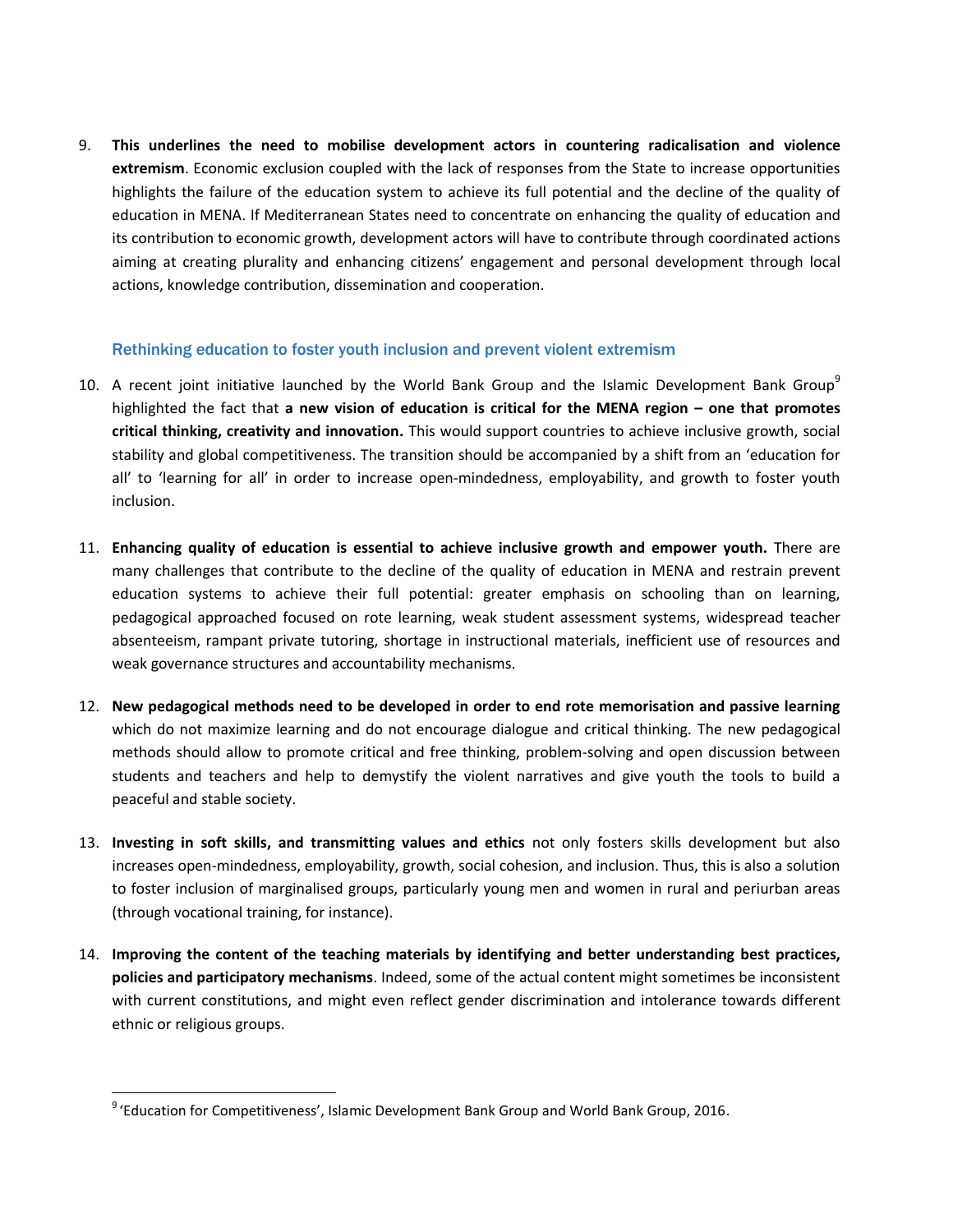9. **This underlines the need to mobilise development actors in countering radicalisation and violence extremism**. Economic exclusion coupled with the lack of responses from the State to increase opportunities highlights the failure of the education system to achieve its full potential and the decline of the quality of education in MENA. If Mediterranean States need to concentrate on enhancing the quality of education and its contribution to economic growth, development actors will have to contribute through coordinated actions aiming at creating plurality and enhancing citizens' engagement and personal development through local actions, knowledge contribution, dissemination and cooperation.

#### Rethinking education to foster youth inclusion and prevent violent extremism

- 10. A recent joint initiative launched by the World Bank Group and the Islamic Development Bank Group<sup>9</sup> highlighted the fact that **a new vision of education is critical for the MENA region – one that promotes critical thinking, creativity and innovation.** This would support countries to achieve inclusive growth, social stability and global competitiveness. The transition should be accompanied by a shift from an 'education for all' to 'learning for all' in order to increase open-mindedness, employability, and growth to foster youth inclusion.
- 11. **Enhancing quality of education is essential to achieve inclusive growth and empower youth.** There are many challenges that contribute to the decline of the quality of education in MENA and restrain prevent education systems to achieve their full potential: greater emphasis on schooling than on learning, pedagogical approached focused on rote learning, weak student assessment systems, widespread teacher absenteeism, rampant private tutoring, shortage in instructional materials, inefficient use of resources and weak governance structures and accountability mechanisms.
- 12. **New pedagogical methods need to be developed in order to end rote memorisation and passive learning** which do not maximize learning and do not encourage dialogue and critical thinking. The new pedagogical methods should allow to promote critical and free thinking, problem-solving and open discussion between students and teachers and help to demystify the violent narratives and give youth the tools to build a peaceful and stable society.
- 13. **Investing in soft skills, and transmitting values and ethics** not only fosters skills development but also increases open-mindedness, employability, growth, social cohesion, and inclusion. Thus, this is also a solution to foster inclusion of marginalised groups, particularly young men and women in rural and periurban areas (through vocational training, for instance).
- 14. **Improving the content of the teaching materials by identifying and better understanding best practices, policies and participatory mechanisms**. Indeed, some of the actual content might sometimes be inconsistent with current constitutions, and might even reflect gender discrimination and intolerance towards different ethnic or religious groups.

 $\overline{\phantom{a}}$ 

<sup>&</sup>lt;sup>9</sup> 'Education for Competitiveness', Islamic Development Bank Group and World Bank Group, 2016.